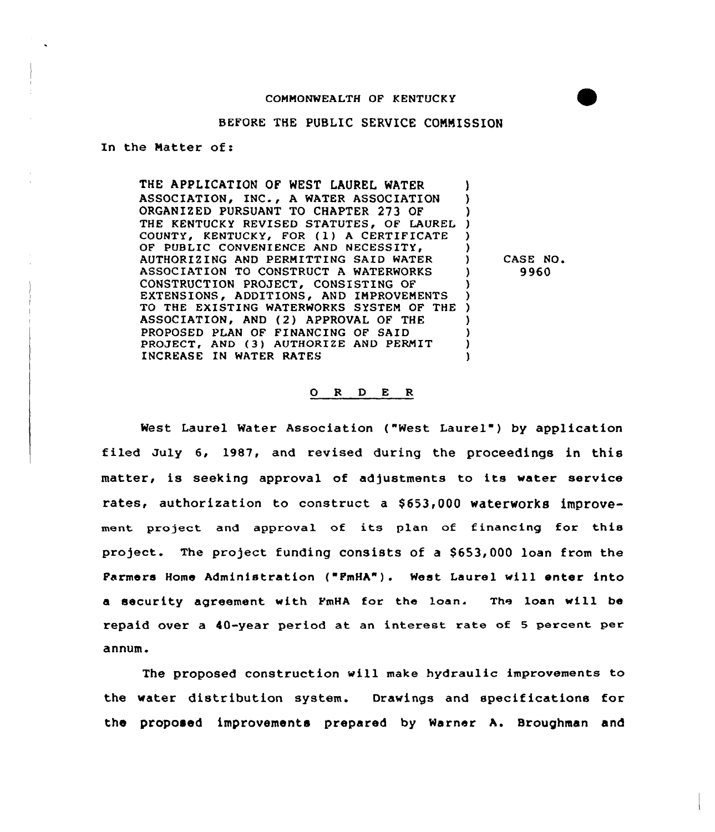## BEFORE THE PUBLIC SERVICE CONNISSION

In the Matter of:

THE APPLICATION OF WEST LAUREL WATER ASSOCIATION, INC., <sup>A</sup> WATER ASSOCIATION ORGANIZED PURSUANT TO CHAPTER 273 OF ORGANIZED PURSUANT TO CHAPTER 273 OF )<br>THE KENTUCKY REVISED STATUTES, OF LAUREL ) COUNTY, KENTUCKY, FOR (1) A CERTIFICATE OF PUBLIC CONVENIENCE AND NECESSITY, AUTHORIZING AND PERMITTING SAID WATER ASSOCIATION TO CONSTRUCT A WATERWORKS CONSTRUCTION PROJECT, CONSISTING OF EXTENSIONS, ADDITIONS, AND IMPROVEMENTS TO THE EXISTING WATERWORKS SYSTEM OF THE ASSOCIATION, AND (2) APPROVAL OF THE PROPOSED PLAN OF FINANCING OF SAID PROJECT, AND (3) AUTHORIZE AND PERMIT INCREASE IN WATER RATES ) ) ) ) ) ) ) )

CASE NO. 9960

## 0 <sup>R</sup> <sup>D</sup> E R

West Laurel Water Association ("West Laurel") by application filed July 6, 1987, and revised during the proceedings in this matter, is seeking approval of adjustments to its water service rates, authorization to construct a \$653,000 waterworks improvement project and approval of its plan of financing for this project. The project funding consists of a \$653,000 loan from the Farmers Home Administration ("FmHA"). West Laurel will enter into a security agreement with FmHA for the loan. The loan will be repaid over a 40-year period at an interest rate of <sup>5</sup> percent per annum.

The proposed construction will make hydraulic improvements to the water distribution system. Drawings and specifications for the proposed improvements prepared by Warner A. 8roughman and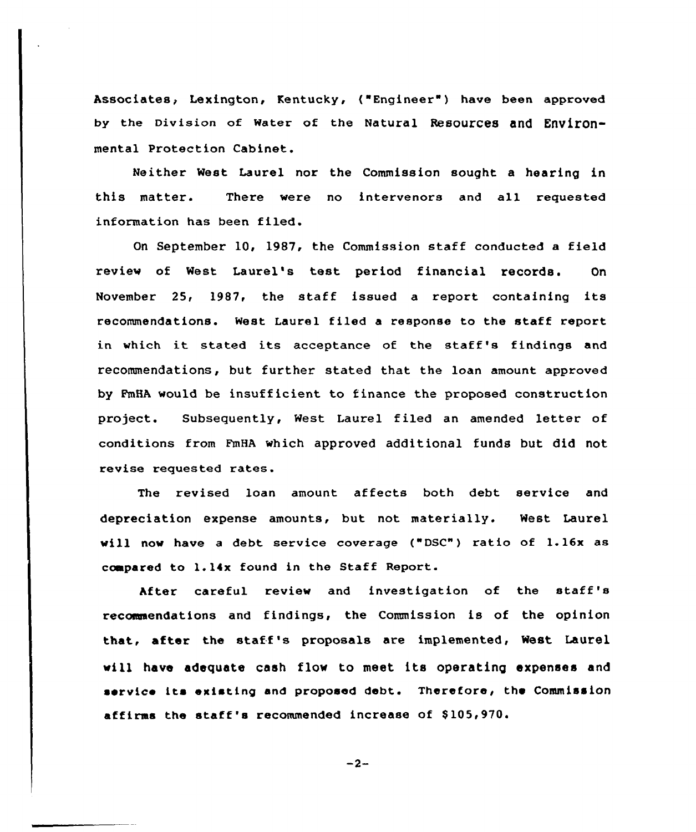Associates, Lexington, Kentucky, ("Engineer") have been approved by the Division of water of the Natural Resources and Environmental Protection Cabinet.

Neither West Laurel nor the Commission sought a hearing in this matter. There were no intervenors and all requested information has been filed.

Qn September 10, 1987, the Commission staff conducted a field review of West Laurel's test period financial records. On November 25, 1987, the staff issued <sup>a</sup> report containing its recommendations. West Laurel filed a response to the staff report in which it stated its acceptance of the staff's findings and recommendations, but further stated that the loan amount approved by FmHA would be insufficient to finance the proposed construction project. Subsequently, West Laurel filed an amended letter of conditions from FmHA which approved additional funds but did not revise requested rates.

The revised loan amount affects both debt service and depreciation expense amounts, but not materially. West Laurel will now have <sup>a</sup> debt service coverage ("DSC") ratio of 1.16x as ccmpared to 1.14x found in the Staff Report.

After careful review and investigation of the staff's recommendations and findings, the Commission is of the opinion that, after the staff's proposals are implemented, West Laurel vill have adequate cash flow to meet its operating expenses and service its existing and proposed debt. Therefore, the Commission affirms the staff's recommended increase of \$105,970.

$$
-2-
$$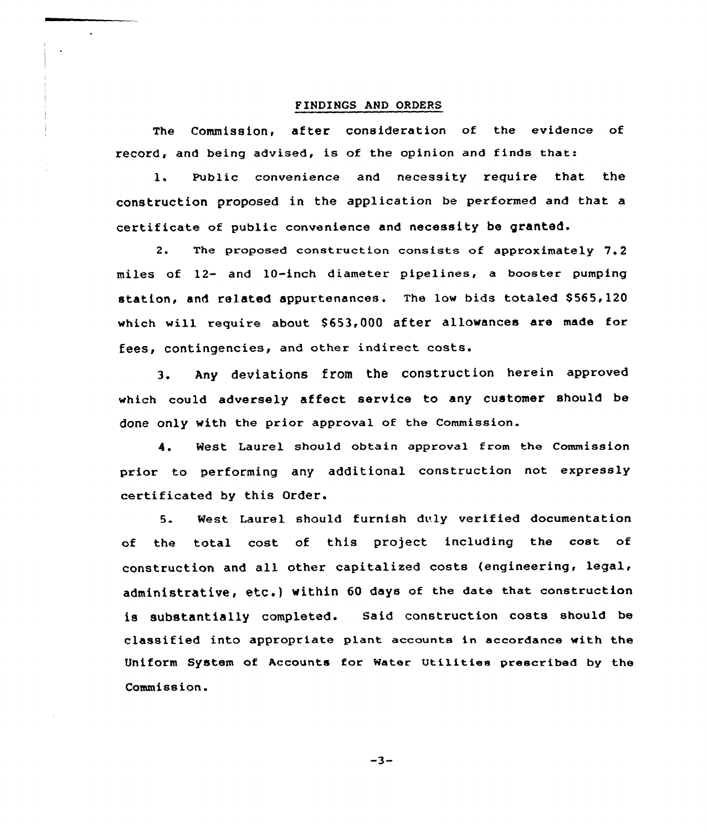## FINDINGS AND ORDERS

The Commission, after consideration of the evidence of record, and being advised, is of the opinion and finds that:

1. Public convenience and necessity require that the construction proposed in the application be performed and that a certificate of public convenience and necessity be granted.

2. The proposed construction consists of approximately 7.2 miles of 12- and 10-inch diameter pipelines, a booster pumping station, and related appurtenances. The low bids totaled \$565,120 which will require about \$653,000 after allowances are made for fees, contingencies, and other indirect costs.

3. Any deviations from the construction herein approved which could adversely affect service to any customer should be done only with the prior approval of the Commission.

4. West Laurel should obtain approval from the Commission prior to performing any additional construction not expressly certificated by this Order.

5. West Laurel should furnish duly verified documentation of the total cost of this project including the cost of construction and all other capitalized costs {engineering, legal, administrative, etc.) within <sup>60</sup> days of the date that construction is substantially completed. said construction costs should be classified into appropriate plant accaunta in accordance with the Uniform System of Accounts for Water Utilities prescribed by the Commission.

 $-3-$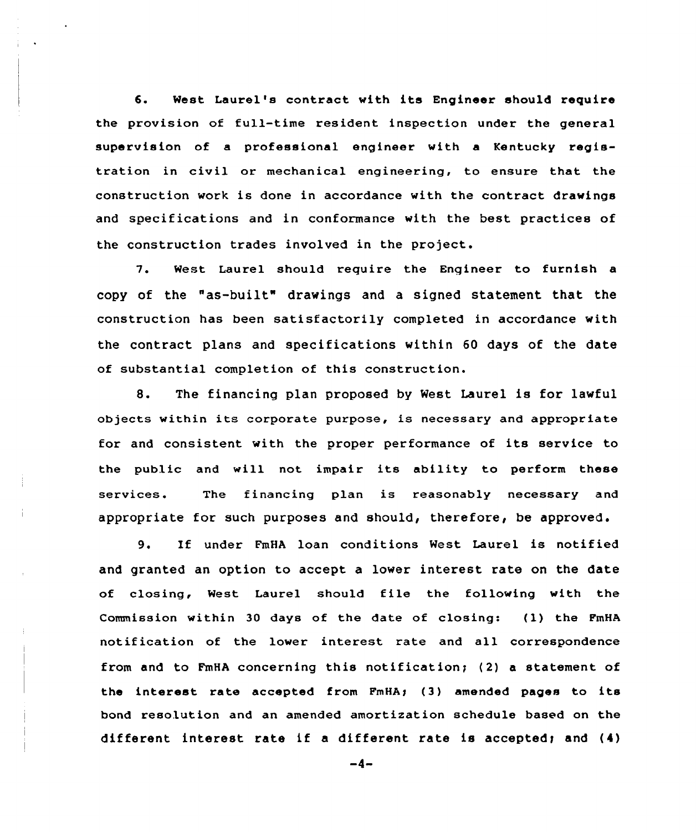6. West Laurel's contract with its Engineer should require the provision of full-time resident inspection under the general supervision of a professional engineer with a Kentucky registration in civil or mechanical engineering, to ensure that the construction work is done in accordance with the contract drawings and specifications and in conformance with the best practices of the construction trades involved in the project.

7. West Laurel should require the Engineer to furnish a copy of the "as-built" drawings and a signed statement that the construction has been satisfactorily completed in accordance with the contract plans and specifications within 60 days of the date of substantial completion of this construction.

8. The financing plan proposed by West Laurel is for lawful objects within its corporate purpose, is necessary and appropriate for and consistent with the proper performance of its service to the public and will not impair its ability to perform these services. The financing plan is reasonably necessary and appropriate for such purposes and should, therefore, be approved.

9. If under FmHA loan conditions West Laurel is notified and granted an option to accept a lower interest rate on the date of closing, West Laurel should file the following with the Commission within <sup>30</sup> days of the date of closing: (l) the PmHA notification of the lower interest rate and all correspondence from and to FmHA concerning this notification; (2) a statement of the interest rate accepted from FmHA; (3) amended pages to its bond resolution and an amended amortization schedule based on the different interest rate if a different rate is accepted; and  $(4)$ 

 $-4-$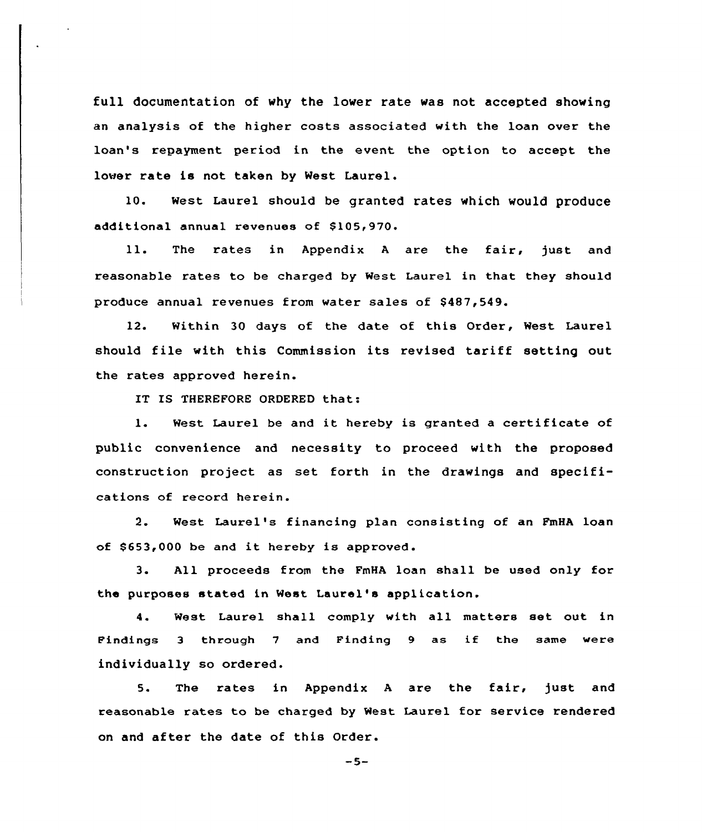full documentation of why the lower rate was not accepted showing an analysis of the higher costs associated with the loan over the loan's repayment period in the event the option to accept the lower rate is not taken by West Laurel.

10. West Laurel should be granted rates which would produce additional annual revenues of \$105,970.

ll. The rates in Appendix <sup>A</sup> are the fair, just and reasonable rates to be charged by West Laurel in that they should produce annual revenues from water sales of \$487,549.

12. Within 30 days of the date of this Order, West Laurel should file with this Commission its revised tariff setting out the rates approved herein.

IT IS THEREFORE ORDERED that:

1. West Laurel be and it hereby is granted <sup>a</sup> certificate of public convenience and necessity to proceed with the proposed construction project as set forth in the drawings and specifications of record herein.

2. West Laurel's financing plan consisting of an PmHA loan of \$653,000 be and it hereby is approved.

3. All proceeds from the FmHA loan shall be used only for the purposes stated in West Laurel's application.

4. West Laurel shall comply with all matters set out in Findings <sup>3</sup> through <sup>7</sup> and Finding <sup>9</sup> as if the same were individually so ordered.

5. The rates in Appendix A are the fair, just and reasonable rates to be charged by West Laurel for service rendered on and after the date of this Order.

 $-5-$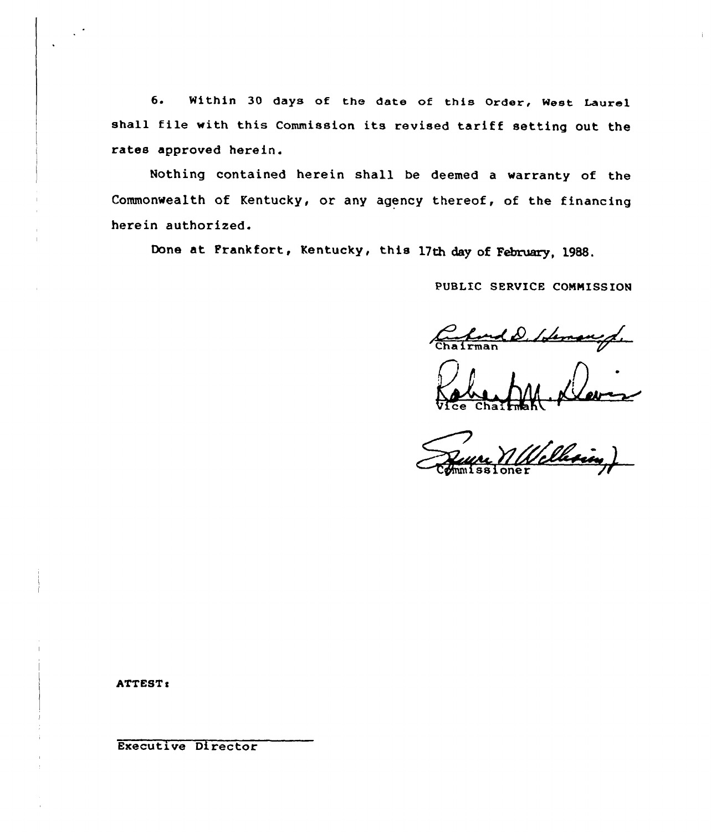6. Within 30 days of the date of this Order, West Laurel shall file with this Commission its revised tariff setting out the rates approved herein.

Nothing contained herein shall be deemed a warranty of the Commonwealth of Kentucky, or any agency thereof, of the financing herein authorized.

Done at Frankfort, Kentucky, this 17th day of February, 1988.

PUBLIC SERVICE CONMISS ION

PUBLIC SERV Idemand ,

(1 **Ommissione** 

ATTEST:

Executive Director